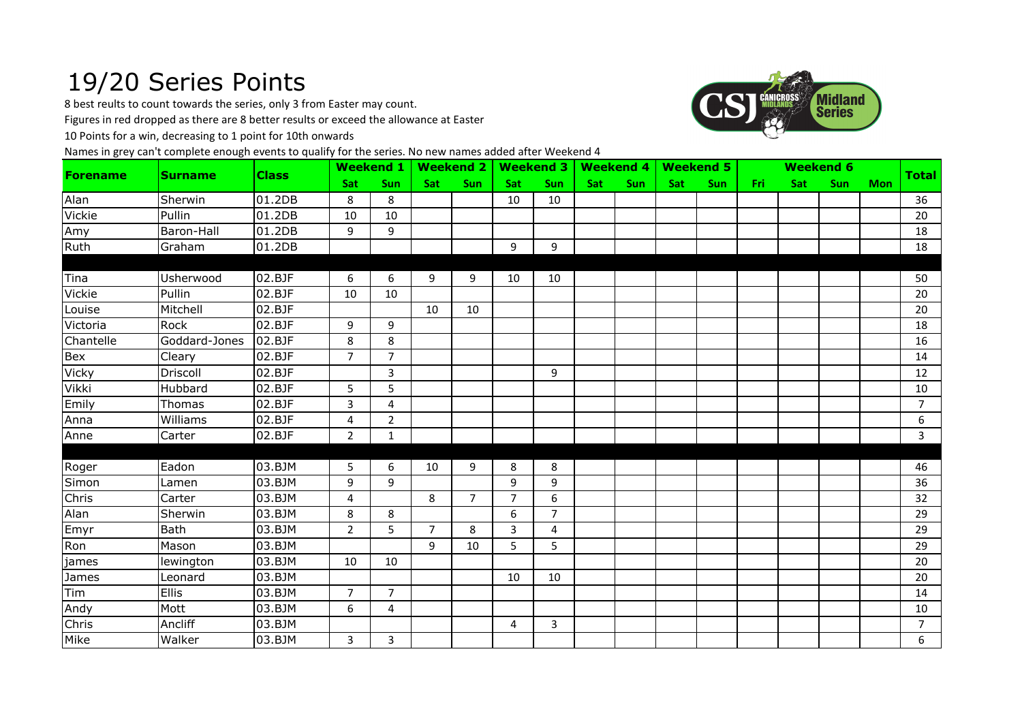## 19/20 Series Points

8 best reults to count towards the series, only 3 from Easter may count.

Figures in red dropped as there are 8 better results or exceed the allowance at Easter

10 Points for a win, decreasing to 1 point for 10th onwards

Names in grey can't complete enough events to qualify for the series. No new names added after Weekend 4



| <b>Forename</b> | <b>Surname</b> | <b>Class</b> | Weekend 1   Weekend 2   Weekend 3   Weekend 4   Weekend 5 |                |                |             |                 |                |     |            |     |     |       |     | <b>Weekend 6</b> |            | <b>Total</b>   |
|-----------------|----------------|--------------|-----------------------------------------------------------|----------------|----------------|-------------|-----------------|----------------|-----|------------|-----|-----|-------|-----|------------------|------------|----------------|
|                 |                |              | <b>Sat</b>                                                | <b>Sun</b>     | Sat            | <b>Sun</b>  | Sat             | <b>Sun</b>     | Sat | <b>Sun</b> | Sat | Sun | Fri - | Sat | <b>Sun</b>       | <b>Mon</b> |                |
| Alan            | Sherwin        | 01.2DB       | 8                                                         | 8              |                |             | 10              | 10             |     |            |     |     |       |     |                  |            | 36             |
| <b>Vickie</b>   | Pullin         | 01.2DB       | 10                                                        | 10             |                |             |                 |                |     |            |     |     |       |     |                  |            | 20             |
| Amy             | Baron-Hall     | 01.2DB       | 9                                                         | 9              |                |             |                 |                |     |            |     |     |       |     |                  |            | 18             |
| Ruth            | Graham         | 01.2DB       |                                                           |                |                |             | 9               | 9              |     |            |     |     |       |     |                  |            | 18             |
|                 |                |              |                                                           |                |                |             |                 |                |     |            |     |     |       |     |                  |            |                |
| <b>Tina</b>     | Usherwood      | 02.BJF       | 6                                                         | 6              | 9              | 9           | 10              | 10             |     |            |     |     |       |     |                  |            | 50             |
| Vickie          | Pullin         | 02.BJF       | 10                                                        | 10             |                |             |                 |                |     |            |     |     |       |     |                  |            | 20             |
| Louise          | Mitchell       | 02.BJF       |                                                           |                | 10             | 10          |                 |                |     |            |     |     |       |     |                  |            | 20             |
| Victoria        | Rock           | 02.BJF       | 9                                                         | 9              |                |             |                 |                |     |            |     |     |       |     |                  |            | 18             |
| Chantelle       | Goddard-Jones  | 02.BJF       | 8                                                         | 8              |                |             |                 |                |     |            |     |     |       |     |                  |            | 16             |
| Bex             | Cleary         | 02.BJF       | $\overline{7}$                                            | $\overline{7}$ |                |             |                 |                |     |            |     |     |       |     |                  |            | 14             |
| Vicky           | Driscoll       | 02.BJF       |                                                           | 3              |                |             |                 | 9              |     |            |     |     |       |     |                  |            | 12             |
| <b>Vikki</b>    | Hubbard        | 02.BJF       | 5                                                         | 5              |                |             |                 |                |     |            |     |     |       |     |                  |            | 10             |
| Emily           | Thomas         | 02.BJF       | 3                                                         | $\overline{4}$ |                |             |                 |                |     |            |     |     |       |     |                  |            | $\overline{7}$ |
| Anna            | Williams       | 02.BJF       | 4                                                         | $\overline{2}$ |                |             |                 |                |     |            |     |     |       |     |                  |            | 6              |
| Anne            | Carter         | 02.BJF       | $\overline{2}$                                            | $\mathbf{1}$   |                |             |                 |                |     |            |     |     |       |     |                  |            | $\overline{3}$ |
|                 |                |              |                                                           |                |                |             |                 |                |     |            |     |     |       |     |                  |            |                |
| Roger           | Eadon          | 03.BJM       | 5                                                         | 6              | 10             | 9           | 8               | 8              |     |            |     |     |       |     |                  |            | 46             |
| Simon           | Lamen          | 03.BJM       | 9                                                         | 9              |                |             | 9               | 9              |     |            |     |     |       |     |                  |            | 36             |
| Chris           | Carter         | 03.BJM       | 4                                                         |                | 8              | $7^{\circ}$ | $\overline{7}$  | 6              |     |            |     |     |       |     |                  |            | 32             |
| Alan            | Sherwin        | 03.BJM       | 8                                                         | 8              |                |             | 6               | $\overline{7}$ |     |            |     |     |       |     |                  |            | 29             |
| Emyr            | Bath           | 03.BJM       | $\overline{2}$                                            | 5              | $\overline{7}$ | 8           | 3               | $\overline{4}$ |     |            |     |     |       |     |                  |            | 29             |
| Ron             | Mason          | 03.BJM       |                                                           |                | 9              | 10          | $5\overline{)}$ | 5              |     |            |     |     |       |     |                  |            | 29             |
| james           | lewington      | 03.BJM       | 10                                                        | 10             |                |             |                 |                |     |            |     |     |       |     |                  |            | 20             |
| James           | Leonard        | 03.BJM       |                                                           |                |                |             | 10              | 10             |     |            |     |     |       |     |                  |            | 20             |
| Tim             | <b>Ellis</b>   | 03.BJM       | $\overline{7}$                                            | $7^{\circ}$    |                |             |                 |                |     |            |     |     |       |     |                  |            | 14             |
| Andy            | Mott           | 03.BJM       | 6                                                         | 4              |                |             |                 |                |     |            |     |     |       |     |                  |            | 10             |
| Chris           | Ancliff        | 03.BJM       |                                                           |                |                |             | 4               | $\overline{3}$ |     |            |     |     |       |     |                  |            | $\overline{7}$ |
| Mike            | Walker         | 03.BJM       | 3                                                         | 3              |                |             |                 |                |     |            |     |     |       |     |                  |            | 6              |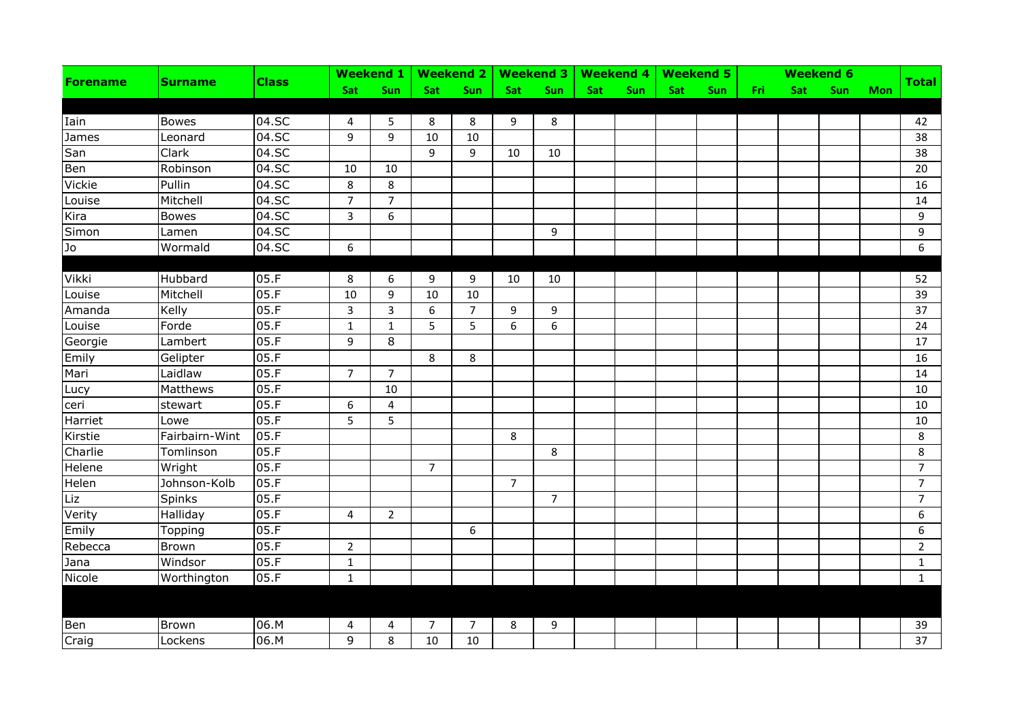| <b>Forename</b> | <b>Surname</b> |              |                |                |                |                |                |                |     |     |     | Weekend 1   Weekend 2   Weekend 3   Weekend 4   Weekend 5 |       |     | <b>Weekend 6</b> |            |                |
|-----------------|----------------|--------------|----------------|----------------|----------------|----------------|----------------|----------------|-----|-----|-----|-----------------------------------------------------------|-------|-----|------------------|------------|----------------|
|                 |                | <b>Class</b> | Sat            | Sun            | Sat            | Sun            | Sat            | Sun            | Sat | Sun | Sat | Sun                                                       | Fri i | Sat | Sun              | <b>Mon</b> | <b>Total</b>   |
|                 |                |              |                |                |                |                |                |                |     |     |     |                                                           |       |     |                  |            |                |
| Iain            | <b>Bowes</b>   | 04.SC        | 4              | 5              | 8              | 8              | 9              | 8              |     |     |     |                                                           |       |     |                  |            | 42             |
| James           | Leonard        | 04.5C        | 9              | 9              | 10             | 10             |                |                |     |     |     |                                                           |       |     |                  |            | 38             |
| San             | Clark          | 04.SC        |                |                | 9              | 9              | 10             | 10             |     |     |     |                                                           |       |     |                  |            | 38             |
| Ben             | Robinson       | 04.SC        | 10             | 10             |                |                |                |                |     |     |     |                                                           |       |     |                  |            | 20             |
| Vickie          | Pullin         | 04.SC        | 8              | 8              |                |                |                |                |     |     |     |                                                           |       |     |                  |            | 16             |
| Louise          | Mitchell       | 04.SC        | $\overline{7}$ | $\overline{7}$ |                |                |                |                |     |     |     |                                                           |       |     |                  |            | 14             |
| Kira            | <b>Bowes</b>   | 04.SC        | $\overline{3}$ | $\overline{6}$ |                |                |                |                |     |     |     |                                                           |       |     |                  |            | $\overline{9}$ |
| Simon           | Lamen          | 04.SC        |                |                |                |                |                | 9              |     |     |     |                                                           |       |     |                  |            | 9              |
| Jo              | Wormald        | 04.SC        | 6              |                |                |                |                |                |     |     |     |                                                           |       |     |                  |            | 6              |
|                 |                |              |                |                |                |                |                |                |     |     |     |                                                           |       |     |                  |            |                |
| Vikki           | Hubbard        | 05.F         | 8              | 6              | 9              | 9              | 10             | 10             |     |     |     |                                                           |       |     |                  |            | 52             |
| Louise          | Mitchell       | 05.F         | 10             | 9              | 10             | 10             |                |                |     |     |     |                                                           |       |     |                  |            | 39             |
| Amanda          | Kelly          | 05.F         | $\mathbf{3}$   | $\overline{3}$ | 6              | $\overline{7}$ | 9              | 9              |     |     |     |                                                           |       |     |                  |            | 37             |
| Louise          | Forde          | 05.F         | $\mathbf 1$    | $\mathbf{1}$   | 5              | 5              | 6              | 6              |     |     |     |                                                           |       |     |                  |            | 24             |
| Georgie         | Lambert        | 05.F         | 9              | 8              |                |                |                |                |     |     |     |                                                           |       |     |                  |            | 17             |
| Emily           | Gelipter       | 05.F         |                |                | 8              | 8              |                |                |     |     |     |                                                           |       |     |                  |            | 16             |
| Mari            | Laidlaw        | 05.F         | $\overline{7}$ | $\overline{7}$ |                |                |                |                |     |     |     |                                                           |       |     |                  |            | 14             |
| Lucy            | Matthews       | 05.F         |                | 10             |                |                |                |                |     |     |     |                                                           |       |     |                  |            | 10             |
| ceri            | stewart        | 05.F         | 6              | $\overline{4}$ |                |                |                |                |     |     |     |                                                           |       |     |                  |            | 10             |
| Harriet         | Lowe           | 05.F         | 5              | 5              |                |                |                |                |     |     |     |                                                           |       |     |                  |            | 10             |
| Kirstie         | Fairbairn-Wint | 05.F         |                |                |                |                | 8              |                |     |     |     |                                                           |       |     |                  |            | 8              |
| Charlie         | Tomlinson      | 05.F         |                |                |                |                |                | 8              |     |     |     |                                                           |       |     |                  |            | 8              |
| Helene          | Wright         | 05.F         |                |                | $\overline{7}$ |                |                |                |     |     |     |                                                           |       |     |                  |            | $\overline{7}$ |
| Helen           | Johnson-Kolb   | 05.F         |                |                |                |                | $\overline{7}$ |                |     |     |     |                                                           |       |     |                  |            | $\overline{7}$ |
| Liz             | Spinks         | 05.F         |                |                |                |                |                | $\overline{7}$ |     |     |     |                                                           |       |     |                  |            | $\overline{7}$ |
| Verity          | Halliday       | 05.F         | 4              | $\overline{2}$ |                |                |                |                |     |     |     |                                                           |       |     |                  |            | 6              |
| Emily           | <b>Topping</b> | 05.F         |                |                |                | 6              |                |                |     |     |     |                                                           |       |     |                  |            | 6              |
| Rebecca         | Brown          | 05.F         | $\overline{2}$ |                |                |                |                |                |     |     |     |                                                           |       |     |                  |            | $\overline{2}$ |
| Jana            | Windsor        | 05.F         | $\mathbf 1$    |                |                |                |                |                |     |     |     |                                                           |       |     |                  |            | $\mathbf{1}$   |
| Nicole          | Worthington    | 05.F         | $\mathbf 1$    |                |                |                |                |                |     |     |     |                                                           |       |     |                  |            | $\mathbf{1}$   |
|                 |                |              |                |                |                |                |                |                |     |     |     |                                                           |       |     |                  |            |                |
| Ben             | Brown          | 06.M         | 4              | 4              | 7              | $\overline{7}$ | 8              | 9              |     |     |     |                                                           |       |     |                  |            | 39             |
| Craig           | Lockens        | 06.M         | 9              | 8              | 10             | 10             |                |                |     |     |     |                                                           |       |     |                  |            | 37             |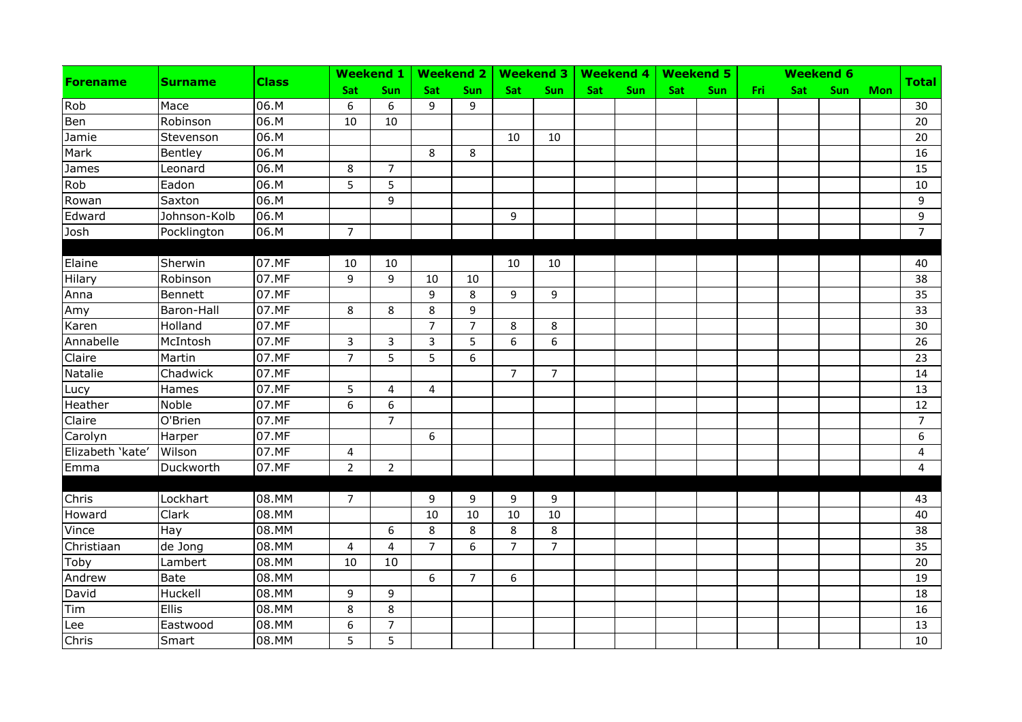| <b>Forename</b>  | <b>Surname</b> | <b>Class</b> |                | Weekend 1   Weekend 2 |                |                |                |                |     | Weekend 3   Weekend 4 |            | <b>Weekend 5</b> |     |     | <b>Weekend 6</b> |            |                |
|------------------|----------------|--------------|----------------|-----------------------|----------------|----------------|----------------|----------------|-----|-----------------------|------------|------------------|-----|-----|------------------|------------|----------------|
|                  |                |              | <b>Sat</b>     | Sun                   | <b>Sat</b>     | <b>Sun</b>     | <b>Sat</b>     | Sun            | Sat | <b>Sun</b>            | <b>Sat</b> | Sun              | Fri | Sat | Sun              | <b>Mon</b> | <b>Total</b>   |
| Rob              | Mace           | 06.M         | 6              | 6                     | 9              | 9              |                |                |     |                       |            |                  |     |     |                  |            | 30             |
| Ben              | Robinson       | 06.M         | 10             | 10                    |                |                |                |                |     |                       |            |                  |     |     |                  |            | 20             |
| Jamie            | Stevenson      | 06.M         |                |                       |                |                | 10             | 10             |     |                       |            |                  |     |     |                  |            | 20             |
| Mark             | Bentley        | 06.M         |                |                       | 8              | 8              |                |                |     |                       |            |                  |     |     |                  |            | 16             |
| James            | Leonard        | 06.M         | 8              | $\overline{7}$        |                |                |                |                |     |                       |            |                  |     |     |                  |            | 15             |
| Rob              | Eadon          | 06.M         | 5              | 5                     |                |                |                |                |     |                       |            |                  |     |     |                  |            | 10             |
| Rowan            | Saxton         | 06.M         |                | 9                     |                |                |                |                |     |                       |            |                  |     |     |                  |            | 9              |
| Edward           | Johnson-Kolb   | 06.M         |                |                       |                |                | 9              |                |     |                       |            |                  |     |     |                  |            | $\overline{9}$ |
| Josh             | Pocklington    | 06.M         | $\overline{7}$ |                       |                |                |                |                |     |                       |            |                  |     |     |                  |            | $\overline{7}$ |
|                  |                |              |                |                       |                |                |                |                |     |                       |            |                  |     |     |                  |            |                |
| Elaine           | Sherwin        | 07.MF        | 10             | 10                    |                |                | 10             | 10             |     |                       |            |                  |     |     |                  |            | 40             |
| Hilary           | Robinson       | 07.MF        | 9              | 9                     | 10             | 10             |                |                |     |                       |            |                  |     |     |                  |            | 38             |
| Anna             | Bennett        | 07.MF        |                |                       | 9              | 8              | 9              | 9              |     |                       |            |                  |     |     |                  |            | 35             |
| Amy              | Baron-Hall     | 07.MF        | 8              | 8                     | 8              | 9              |                |                |     |                       |            |                  |     |     |                  |            | 33             |
| Karen            | Holland        | 07.MF        |                |                       | $\overline{7}$ | $\overline{7}$ | 8              | 8              |     |                       |            |                  |     |     |                  |            | 30             |
| Annabelle        | McIntosh       | 07.MF        | 3              | 3                     | 3              | 5              | 6              | 6              |     |                       |            |                  |     |     |                  |            | 26             |
| Claire           | Martin         | 07.MF        | $\overline{7}$ | 5                     | 5              | 6              |                |                |     |                       |            |                  |     |     |                  |            | 23             |
| Natalie          | Chadwick       | 07.MF        |                |                       |                |                | $\overline{7}$ | $\overline{7}$ |     |                       |            |                  |     |     |                  |            | 14             |
| Lucy             | Hames          | 07.MF        | 5              | 4                     | 4              |                |                |                |     |                       |            |                  |     |     |                  |            | 13             |
| Heather          | Noble          | 07.MF        | 6              | 6                     |                |                |                |                |     |                       |            |                  |     |     |                  |            | 12             |
| Claire           | O'Brien        | 07.MF        |                | $\overline{7}$        |                |                |                |                |     |                       |            |                  |     |     |                  |            | $7^{\circ}$    |
| Carolyn          | Harper         | 07.MF        |                |                       | 6              |                |                |                |     |                       |            |                  |     |     |                  |            | $6\phantom{1}$ |
| Elizabeth 'kate' | Wilson         | 07.MF        | 4              |                       |                |                |                |                |     |                       |            |                  |     |     |                  |            | 4              |
| Emma             | Duckworth      | 07.MF        | $\overline{2}$ | $\overline{2}$        |                |                |                |                |     |                       |            |                  |     |     |                  |            | $\overline{4}$ |
|                  |                |              |                |                       |                |                |                |                |     |                       |            |                  |     |     |                  |            |                |
| Chris            | Lockhart       | 08.MM        | $\overline{7}$ |                       | 9              | 9              | 9              | 9              |     |                       |            |                  |     |     |                  |            | 43             |
| Howard           | Clark          | 08.MM        |                |                       | 10             | 10             | 10             | 10             |     |                       |            |                  |     |     |                  |            | 40             |
| Vince            | Hay            | 08.MM        |                | 6                     | 8              | 8              | 8              | 8              |     |                       |            |                  |     |     |                  |            | 38             |
| Christiaan       | de Jong        | 08.MM        | 4              | $\overline{4}$        | $\overline{7}$ | 6              | $\overline{7}$ | $\overline{7}$ |     |                       |            |                  |     |     |                  |            | 35             |
| Toby             | Lambert        | 08.MM        | 10             | 10                    |                |                |                |                |     |                       |            |                  |     |     |                  |            | 20             |
| Andrew           | Bate           | 08.MM        |                |                       | 6              | $\overline{7}$ | 6              |                |     |                       |            |                  |     |     |                  |            | 19             |
| David            | Huckell        | 08.MM        | 9              | 9                     |                |                |                |                |     |                       |            |                  |     |     |                  |            | 18             |
| Tim              | Ellis          | 08.MM        | 8              | 8                     |                |                |                |                |     |                       |            |                  |     |     |                  |            | 16             |
| Lee              | Eastwood       | 08.MM        | 6              | $\overline{7}$        |                |                |                |                |     |                       |            |                  |     |     |                  |            | 13             |
| Chris            | Smart          | 08.MM        | 5              | 5                     |                |                |                |                |     |                       |            |                  |     |     |                  |            | 10             |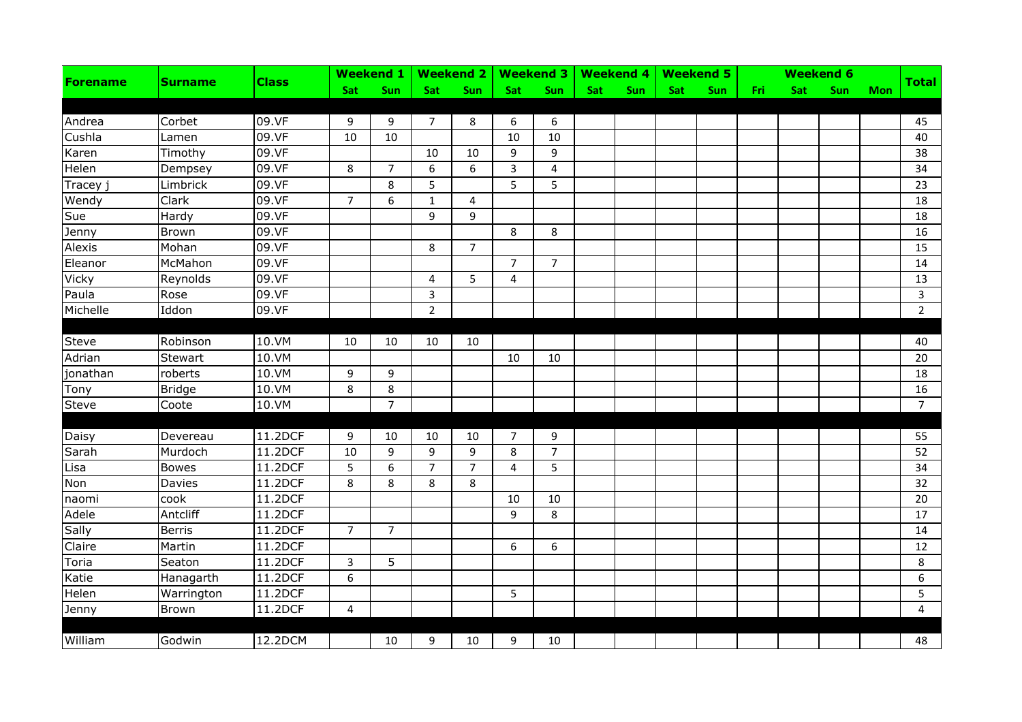| <b>Forename</b> | <b>Surname</b> |              |                | Weekend 1   Weekend 2 |                |                |                |                |     |     |     | Weekend 3   Weekend 4   Weekend 5 |     |     | <b>Weekend 6</b> |            | <b>Total</b>   |
|-----------------|----------------|--------------|----------------|-----------------------|----------------|----------------|----------------|----------------|-----|-----|-----|-----------------------------------|-----|-----|------------------|------------|----------------|
|                 |                | <b>Class</b> | Sat            | Sun                   | <b>Sat</b>     | Sun            | <b>Sat</b>     | <b>Sun</b>     | Sat | Sun | Sat | <b>Sun</b>                        | Fri | Sat | <b>Sun</b>       | <b>Mon</b> |                |
|                 |                |              |                |                       |                |                |                |                |     |     |     |                                   |     |     |                  |            |                |
| Andrea          | Corbet         | 09.VF        | 9              | 9                     | 7              | 8              | 6              | 6              |     |     |     |                                   |     |     |                  |            | 45             |
| Cushla          | Lamen          | 09.VF        | 10             | 10                    |                |                | 10             | 10             |     |     |     |                                   |     |     |                  |            | 40             |
| Karen           | Timothy        | 09.VF        |                |                       | 10             | 10             | 9              | 9              |     |     |     |                                   |     |     |                  |            | 38             |
| Helen           | Dempsey        | 09.VF        | 8              | $\overline{7}$        | 6              | 6              | $\overline{3}$ | $\overline{4}$ |     |     |     |                                   |     |     |                  |            | 34             |
| Tracey j        | Limbrick       | 09.VF        |                | 8                     | 5              |                | 5              | 5              |     |     |     |                                   |     |     |                  |            | 23             |
| Wendy           | Clark          | 09.VF        | $\overline{7}$ | 6                     | $\mathbf{1}$   | $\overline{4}$ |                |                |     |     |     |                                   |     |     |                  |            | 18             |
| Sue             | Hardy          | 09.VF        |                |                       | 9              | 9              |                |                |     |     |     |                                   |     |     |                  |            | 18             |
| Jenny           | Brown          | 09.VF        |                |                       |                |                | 8              | 8              |     |     |     |                                   |     |     |                  |            | 16             |
| Alexis          | Mohan          | 09.VF        |                |                       | 8              | $\overline{7}$ |                |                |     |     |     |                                   |     |     |                  |            | 15             |
| Eleanor         | McMahon        | 09.VF        |                |                       |                |                | $\overline{7}$ | $\overline{7}$ |     |     |     |                                   |     |     |                  |            | 14             |
| Vicky           | Reynolds       | 09.VF        |                |                       | 4              | 5              | 4              |                |     |     |     |                                   |     |     |                  |            | 13             |
| Paula           | Rose           | 09.VF        |                |                       | 3              |                |                |                |     |     |     |                                   |     |     |                  |            | $\mathbf{3}$   |
| Michelle        | Iddon          | 09.VF        |                |                       | $\overline{2}$ |                |                |                |     |     |     |                                   |     |     |                  |            | $2^{\circ}$    |
|                 |                |              |                |                       |                |                |                |                |     |     |     |                                   |     |     |                  |            |                |
| <b>Steve</b>    | Robinson       | 10.VM        | 10             | 10                    | 10             | 10             |                |                |     |     |     |                                   |     |     |                  |            | 40             |
| Adrian          | Stewart        | 10.VM        |                |                       |                |                | 10             | 10             |     |     |     |                                   |     |     |                  |            | 20             |
| jonathan        | roberts        | 10.VM        | 9              | 9                     |                |                |                |                |     |     |     |                                   |     |     |                  |            | 18             |
| Tony            | <b>Bridge</b>  | 10.VM        | 8              | 8                     |                |                |                |                |     |     |     |                                   |     |     |                  |            | 16             |
| <b>Steve</b>    | Coote          | 10.VM        |                | $\overline{7}$        |                |                |                |                |     |     |     |                                   |     |     |                  |            | $\overline{7}$ |
|                 |                |              |                |                       |                |                |                |                |     |     |     |                                   |     |     |                  |            |                |
| Daisy           | Devereau       | 11.2DCF      | 9              | 10                    | 10             | 10             | 7              | 9              |     |     |     |                                   |     |     |                  |            | 55             |
| Sarah           | Murdoch        | 11.2DCF      | 10             | 9                     | 9              | 9              | 8              | $\overline{7}$ |     |     |     |                                   |     |     |                  |            | 52             |
| Lisa            | <b>Bowes</b>   | 11.2DCF      | 5              | 6                     | $\overline{7}$ | $\overline{7}$ | 4              | 5              |     |     |     |                                   |     |     |                  |            | 34             |
| Non             | Davies         | 11.2DCF      | 8              | 8                     | 8              | 8              |                |                |     |     |     |                                   |     |     |                  |            | 32             |
| naomi           | cook           | 11.2DCF      |                |                       |                |                | 10             | 10             |     |     |     |                                   |     |     |                  |            | 20             |
| Adele           | Antcliff       | 11.2DCF      |                |                       |                |                | 9              | 8              |     |     |     |                                   |     |     |                  |            | 17             |
| Sally           | <b>Berris</b>  | 11.2DCF      | $\overline{7}$ | $\overline{7}$        |                |                |                |                |     |     |     |                                   |     |     |                  |            | 14             |
| Claire          | Martin         | 11.2DCF      |                |                       |                |                | 6              | 6              |     |     |     |                                   |     |     |                  |            | 12             |
| Toria           | Seaton         | 11.2DCF      | 3              | $\overline{5}$        |                |                |                |                |     |     |     |                                   |     |     |                  |            | 8              |
| Katie           | Hanagarth      | 11.2DCF      | 6              |                       |                |                |                |                |     |     |     |                                   |     |     |                  |            | 6              |
| Helen           | Warrington     | 11.2DCF      |                |                       |                |                | 5              |                |     |     |     |                                   |     |     |                  |            | 5              |
| Jenny           | Brown          | 11.2DCF      | 4              |                       |                |                |                |                |     |     |     |                                   |     |     |                  |            | $\overline{4}$ |
|                 |                |              |                |                       |                |                |                |                |     |     |     |                                   |     |     |                  |            |                |
| William         | Godwin         | 12.2DCM      |                | 10                    | 9              | 10             | 9              | 10             |     |     |     |                                   |     |     |                  |            | 48             |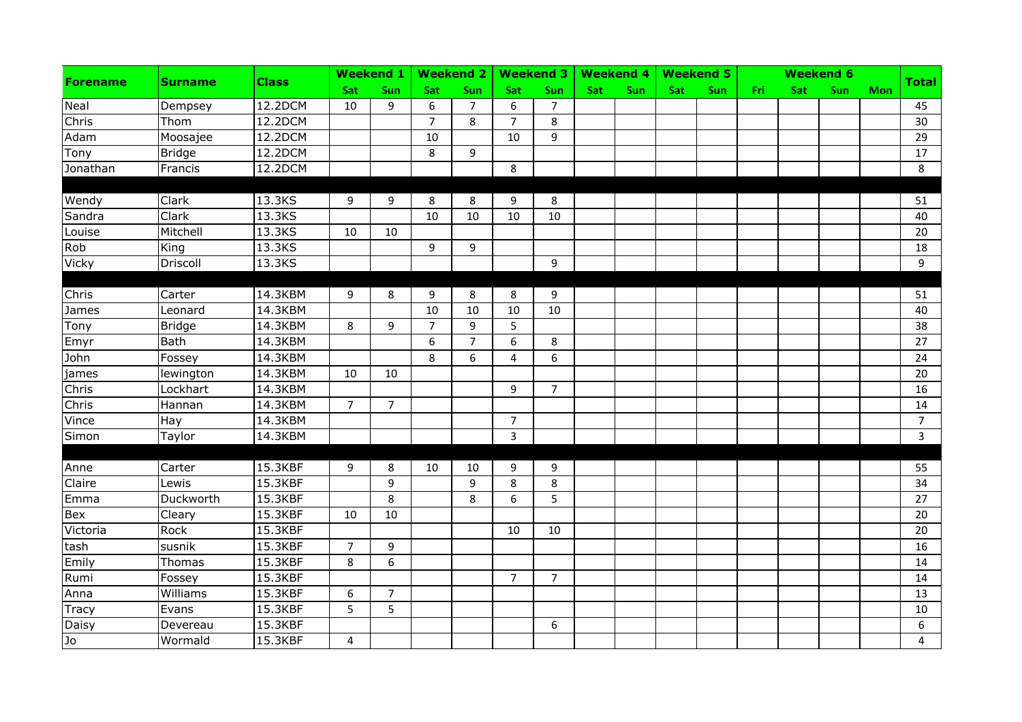| <b>Forename</b> | <b>Surname</b> |              |                | Weekend 1   Weekend 2 |                |                |                | Weekend 3   Weekend 4 |     |     |            | Weekend 5 |     |     | <b>Weekend 6</b> |            |                |
|-----------------|----------------|--------------|----------------|-----------------------|----------------|----------------|----------------|-----------------------|-----|-----|------------|-----------|-----|-----|------------------|------------|----------------|
|                 |                | <b>Class</b> | Sat            | Sun                   | <b>Sat</b>     | Sun            | <b>Sat</b>     | Sun                   | Sat | Sun | <b>Sat</b> | Sun       | Fri | Sat | Sun              | <b>Mon</b> | <b>Total</b>   |
| Neal            | Dempsey        | 12.2DCM      | 10             | 9                     | 6              | $\overline{7}$ | 6              | $\overline{7}$        |     |     |            |           |     |     |                  |            | 45             |
| Chris           | Thom           | 12.2DCM      |                |                       | $\overline{7}$ | 8              | $\overline{7}$ | 8                     |     |     |            |           |     |     |                  |            | 30             |
| Adam            | Moosajee       | 12.2DCM      |                |                       | 10             |                | 10             | 9                     |     |     |            |           |     |     |                  |            | 29             |
| Tony            | <b>Bridge</b>  | 12.2DCM      |                |                       | 8              | 9              |                |                       |     |     |            |           |     |     |                  |            | 17             |
| Jonathan        | Francis        | 12.2DCM      |                |                       |                |                | 8              |                       |     |     |            |           |     |     |                  |            | 8              |
| Wendy           | Clark          | 13.3KS       | 9              | 9                     | 8              | 8              | 9              | 8                     |     |     |            |           |     |     |                  |            | 51             |
| Sandra          | Clark          | 13.3KS       |                |                       | 10             | 10             | 10             | 10                    |     |     |            |           |     |     |                  |            | 40             |
| Louise          | Mitchell       | 13.3KS       | 10             | 10                    |                |                |                |                       |     |     |            |           |     |     |                  |            | 20             |
| Rob             | King           | 13.3KS       |                |                       | 9              | 9              |                |                       |     |     |            |           |     |     |                  |            | 18             |
| Vicky           | Driscoll       | 13.3KS       |                |                       |                |                |                | 9                     |     |     |            |           |     |     |                  |            | 9              |
|                 |                |              |                |                       |                |                |                |                       |     |     |            |           |     |     |                  |            |                |
| Chris           | Carter         | 14.3KBM      | 9              | 8                     | 9              | 8              | 8              | 9                     |     |     |            |           |     |     |                  |            | 51             |
| James           | Leonard        | 14.3KBM      |                |                       | 10             | 10             | 10             | 10                    |     |     |            |           |     |     |                  |            | 40             |
| Tony            | <b>Bridge</b>  | 14.3KBM      | 8              | 9                     | $\overline{7}$ | 9              | 5              |                       |     |     |            |           |     |     |                  |            | 38             |
| Emyr            | Bath           | 14.3KBM      |                |                       | 6              | $\overline{7}$ | 6              | 8                     |     |     |            |           |     |     |                  |            | 27             |
| John            | Fossey         | 14.3KBM      |                |                       | 8              | 6              | 4              | 6                     |     |     |            |           |     |     |                  |            | 24             |
| james           | lewington      | 14.3KBM      | 10             | 10                    |                |                |                |                       |     |     |            |           |     |     |                  |            | 20             |
| Chris           | Lockhart       | 14.3KBM      |                |                       |                |                | 9              | $\overline{7}$        |     |     |            |           |     |     |                  |            | 16             |
| Chris           | Hannan         | 14.3KBM      | $\overline{7}$ | $\overline{7}$        |                |                |                |                       |     |     |            |           |     |     |                  |            | 14             |
| Vince           | Hay            | 14.3KBM      |                |                       |                |                | $\overline{7}$ |                       |     |     |            |           |     |     |                  |            | $\overline{7}$ |
| Simon           | Taylor         | 14.3KBM      |                |                       |                |                | $\mathbf{3}$   |                       |     |     |            |           |     |     |                  |            | $\overline{3}$ |
|                 |                |              |                |                       |                |                |                |                       |     |     |            |           |     |     |                  |            |                |
| Anne            | Carter         | 15.3KBF      | 9              | 8                     | 10             | 10             | 9              | 9                     |     |     |            |           |     |     |                  |            | 55             |
| Claire          | Lewis          | 15.3KBF      |                | 9                     |                | 9              | 8              | 8                     |     |     |            |           |     |     |                  |            | 34             |
| Emma            | Duckworth      | 15.3KBF      |                | 8                     |                | 8              | 6              | 5                     |     |     |            |           |     |     |                  |            | 27             |
| <b>Bex</b>      | Cleary         | 15.3KBF      | 10             | 10                    |                |                |                |                       |     |     |            |           |     |     |                  |            | 20             |
| Victoria        | Rock           | 15.3KBF      |                |                       |                |                | 10             | 10                    |     |     |            |           |     |     |                  |            | 20             |
| tash            | susnik         | 15.3KBF      | $\overline{7}$ | 9                     |                |                |                |                       |     |     |            |           |     |     |                  |            | 16             |
| Emily           | Thomas         | 15.3KBF      | 8              | $6\phantom{a}$        |                |                |                |                       |     |     |            |           |     |     |                  |            | 14             |
| Rumi            | Fossey         | 15.3KBF      |                |                       |                |                | $\overline{7}$ | $\overline{7}$        |     |     |            |           |     |     |                  |            | 14             |
| Anna            | Williams       | 15.3KBF      | 6              | $\overline{7}$        |                |                |                |                       |     |     |            |           |     |     |                  |            | 13             |
| Tracy           | Evans          | 15.3KBF      | 5              | $\overline{5}$        |                |                |                |                       |     |     |            |           |     |     |                  |            | 10             |
| Daisy           | Devereau       | 15.3KBF      |                |                       |                |                |                | 6                     |     |     |            |           |     |     |                  |            | 6              |
| Ъ               | Wormald        | 15.3KBF      | $\overline{4}$ |                       |                |                |                |                       |     |     |            |           |     |     |                  |            | $\overline{4}$ |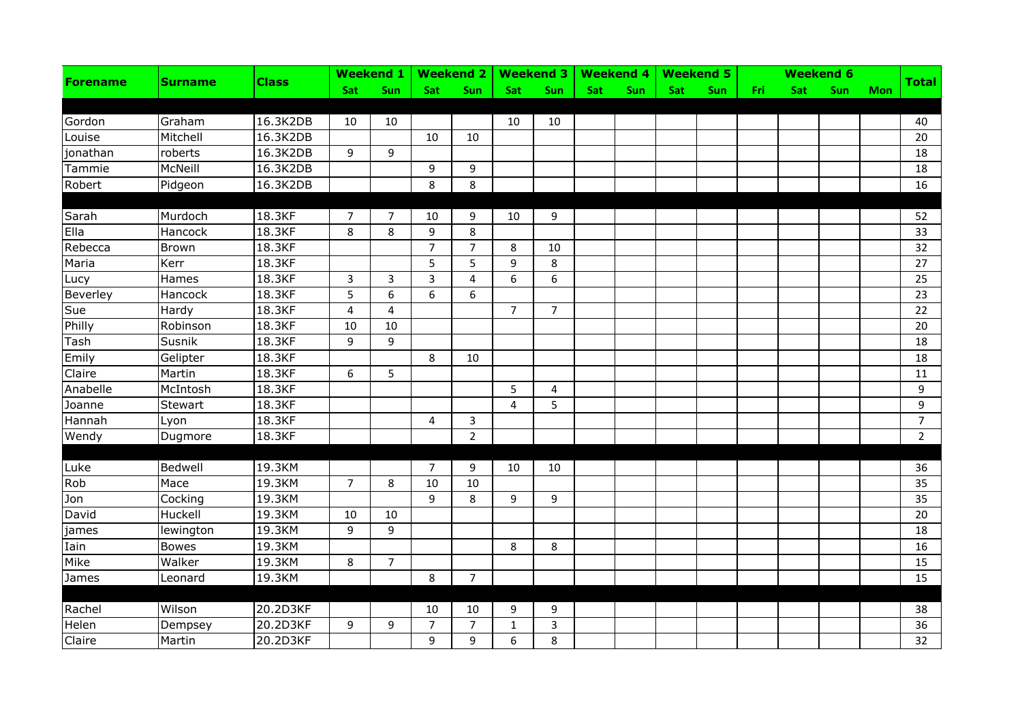| <b>Forename</b> | <b>Surname</b> |              |                | Weekend 1   Weekend 2   Weekend 3   Weekend 4   Weekend 5 |                |                |                |                |     |     |     |     |       |     | <b>Weekend 6</b> |            |                |
|-----------------|----------------|--------------|----------------|-----------------------------------------------------------|----------------|----------------|----------------|----------------|-----|-----|-----|-----|-------|-----|------------------|------------|----------------|
|                 |                | <b>Class</b> | Sat            | Sun                                                       | <b>Sat</b>     | Sun            | Sat            | Sun            | Sat | Sun | Sat | Sun | Fri i | Sat | Sun              | <b>Mon</b> | <b>Total</b>   |
|                 |                |              |                |                                                           |                |                |                |                |     |     |     |     |       |     |                  |            |                |
| Gordon          | Graham         | 16.3K2DB     | 10             | 10                                                        |                |                | 10             | 10             |     |     |     |     |       |     |                  |            | 40             |
| Louise          | Mitchell       | 16.3K2DB     |                |                                                           | 10             | 10             |                |                |     |     |     |     |       |     |                  |            | 20             |
| jonathan        | roberts        | 16.3K2DB     | 9              | 9                                                         |                |                |                |                |     |     |     |     |       |     |                  |            | 18             |
| Tammie          | McNeill        | 16.3K2DB     |                |                                                           | 9              | 9              |                |                |     |     |     |     |       |     |                  |            | 18             |
| Robert          | Pidgeon        | 16.3K2DB     |                |                                                           | 8              | 8              |                |                |     |     |     |     |       |     |                  |            | 16             |
|                 |                |              |                |                                                           |                |                |                |                |     |     |     |     |       |     |                  |            |                |
| Sarah           | Murdoch        | 18.3KF       | $\overline{7}$ | 7                                                         | 10             | 9              | 10             | 9              |     |     |     |     |       |     |                  |            | 52             |
| Ella            | Hancock        | 18.3KF       | 8              | 8                                                         | 9              | 8              |                |                |     |     |     |     |       |     |                  |            | 33             |
| Rebecca         | Brown          | 18.3KF       |                |                                                           | $\overline{7}$ | $\overline{7}$ | 8              | 10             |     |     |     |     |       |     |                  |            | 32             |
| Maria           | Kerr           | 18.3KF       |                |                                                           | 5              | 5              | 9              | 8              |     |     |     |     |       |     |                  |            | 27             |
| Lucy            | Hames          | 18.3KF       | 3              | 3                                                         | 3              | $\overline{4}$ | 6              | 6              |     |     |     |     |       |     |                  |            | 25             |
| Beverley        | Hancock        | 18.3KF       | 5              | 6                                                         | 6              | 6              |                |                |     |     |     |     |       |     |                  |            | 23             |
| Sue             | Hardy          | 18.3KF       | 4              | $\overline{4}$                                            |                |                | $\overline{7}$ | $7^{\circ}$    |     |     |     |     |       |     |                  |            | 22             |
| Philly          | Robinson       | 18.3KF       | 10             | 10                                                        |                |                |                |                |     |     |     |     |       |     |                  |            | 20             |
| Tash            | Susnik         | 18.3KF       | 9              | 9                                                         |                |                |                |                |     |     |     |     |       |     |                  |            | 18             |
| Emily           | Gelipter       | 18.3KF       |                |                                                           | 8              | 10             |                |                |     |     |     |     |       |     |                  |            | 18             |
| Claire          | Martin         | 18.3KF       | 6              | 5                                                         |                |                |                |                |     |     |     |     |       |     |                  |            | 11             |
| Anabelle        | McIntosh       | 18.3KF       |                |                                                           |                |                | 5              | 4              |     |     |     |     |       |     |                  |            | 9              |
| Joanne          | Stewart        | 18.3KF       |                |                                                           |                |                | 4              | 5              |     |     |     |     |       |     |                  |            | 9              |
| Hannah          | Lyon           | 18.3KF       |                |                                                           | 4              | $\overline{3}$ |                |                |     |     |     |     |       |     |                  |            | $\overline{7}$ |
| Wendy           | Dugmore        | 18.3KF       |                |                                                           |                | $\overline{2}$ |                |                |     |     |     |     |       |     |                  |            | $\overline{2}$ |
|                 |                |              |                |                                                           |                |                |                |                |     |     |     |     |       |     |                  |            |                |
| Luke            | Bedwell        | 19.3KM       |                |                                                           | 7              | 9              | 10             | 10             |     |     |     |     |       |     |                  |            | 36             |
| Rob             | Mace           | 19.3KM       | $\overline{7}$ | 8                                                         | 10             | 10             |                |                |     |     |     |     |       |     |                  |            | 35             |
| Jon             | Cocking        | 19.3KM       |                |                                                           | 9              | 8              | 9              | 9              |     |     |     |     |       |     |                  |            | 35             |
| David           | Huckell        | 19.3KM       | 10             | 10                                                        |                |                |                |                |     |     |     |     |       |     |                  |            | 20             |
| james           | lewington      | 19.3KM       | 9              | 9                                                         |                |                |                |                |     |     |     |     |       |     |                  |            | 18             |
| Iain            | <b>Bowes</b>   | 19.3KM       |                |                                                           |                |                | 8              | 8              |     |     |     |     |       |     |                  |            | 16             |
| Mike            | Walker         | 19.3KM       | 8              | $\overline{7}$                                            |                |                |                |                |     |     |     |     |       |     |                  |            | 15             |
| James           | Leonard        | 19.3KM       |                |                                                           | 8              | $\overline{7}$ |                |                |     |     |     |     |       |     |                  |            | 15             |
|                 |                |              |                |                                                           |                |                |                |                |     |     |     |     |       |     |                  |            |                |
| Rachel          | Wilson         | 20.2D3KF     |                |                                                           | 10             | 10             | 9              | 9              |     |     |     |     |       |     |                  |            | 38             |
| Helen           | Dempsey        | 20.2D3KF     | 9              | 9                                                         | $\overline{7}$ | $\overline{7}$ | $\mathbf{1}$   | $\overline{3}$ |     |     |     |     |       |     |                  |            | 36             |
| Claire          | Martin         | 20.2D3KF     |                |                                                           | 9              | 9              | 6              | 8              |     |     |     |     |       |     |                  |            | 32             |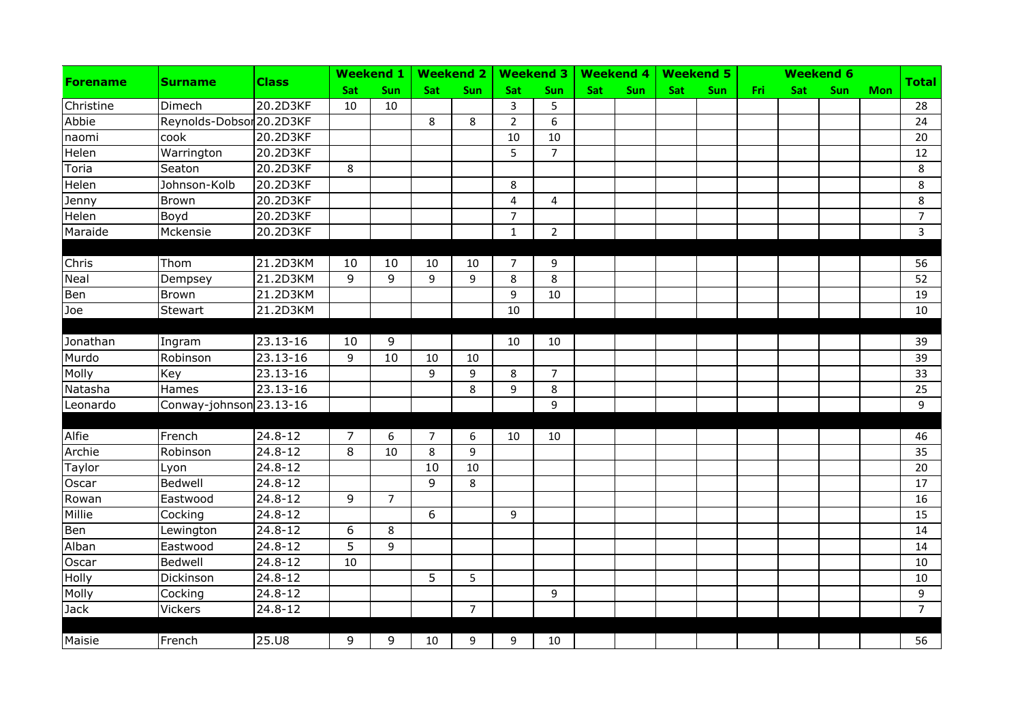| <b>Forename</b> | <b>Surname</b>           | <b>Class</b> |     | Weekend $1$    |     | <b>Weekend 2</b> |                         | Weekend 3   Weekend 4 |     |     |     | <b>Weekend 5</b> |     |     | <b>Weekend 6</b> |            |                |
|-----------------|--------------------------|--------------|-----|----------------|-----|------------------|-------------------------|-----------------------|-----|-----|-----|------------------|-----|-----|------------------|------------|----------------|
|                 |                          |              | Sat | Sun            | Sat | Sun              | Sat                     | Sun                   | Sat | Sun | Sat | Sun              | Fri | Sat | Sun              | <b>Mon</b> | <b>Total</b>   |
| Christine       | Dimech                   | 20.2D3KF     | 10  | 10             |     |                  | 3                       | 5                     |     |     |     |                  |     |     |                  |            | 28             |
| Abbie           | Reynolds-Dobsor 20.2D3KF |              |     |                | 8   | 8                | $\overline{2}$          | 6                     |     |     |     |                  |     |     |                  |            | 24             |
| naomi           | cook                     | 20.2D3KF     |     |                |     |                  | 10                      | 10                    |     |     |     |                  |     |     |                  |            | 20             |
| Helen           | Warrington               | 20.2D3KF     |     |                |     |                  | 5                       | $\overline{7}$        |     |     |     |                  |     |     |                  |            | 12             |
| Toria           | Seaton                   | 20.2D3KF     | 8   |                |     |                  |                         |                       |     |     |     |                  |     |     |                  |            | 8              |
| Helen           | Johnson-Kolb             | 20.2D3KF     |     |                |     |                  | 8                       |                       |     |     |     |                  |     |     |                  |            | 8              |
| Jenny           | <b>Brown</b>             | 20.2D3KF     |     |                |     |                  | $\overline{\mathbf{4}}$ | $\overline{4}$        |     |     |     |                  |     |     |                  |            | 8              |
| Helen           | Boyd                     | 20.2D3KF     |     |                |     |                  | $\overline{7}$          |                       |     |     |     |                  |     |     |                  |            | $\overline{7}$ |
| Maraide         | Mckensie                 | 20.2D3KF     |     |                |     |                  | $\mathbf{1}$            | $\overline{2}$        |     |     |     |                  |     |     |                  |            | $\overline{3}$ |
|                 |                          |              |     |                |     |                  |                         |                       |     |     |     |                  |     |     |                  |            |                |
| Chris           | Thom                     | 21.2D3KM     | 10  | 10             | 10  | 10               | $\overline{7}$          | 9                     |     |     |     |                  |     |     |                  |            | 56             |
| <b>Neal</b>     | Dempsey                  | 21.2D3KM     | 9   | 9              | 9   | 9                | 8                       | 8                     |     |     |     |                  |     |     |                  |            | 52             |
| Ben             | <b>Brown</b>             | 21.2D3KM     |     |                |     |                  | $\overline{9}$          | 10                    |     |     |     |                  |     |     |                  |            | 19             |
| Joe             | Stewart                  | 21.2D3KM     |     |                |     |                  | 10                      |                       |     |     |     |                  |     |     |                  |            | 10             |
|                 |                          |              |     |                |     |                  |                         |                       |     |     |     |                  |     |     |                  |            |                |
| Jonathan        | Ingram                   | 23.13-16     | 10  | 9              |     |                  | 10                      | 10                    |     |     |     |                  |     |     |                  |            | 39             |
| Murdo           | Robinson                 | 23.13-16     | 9   | 10             | 10  | 10               |                         |                       |     |     |     |                  |     |     |                  |            | 39             |
| Molly           | Key                      | 23.13-16     |     |                | 9   | 9                | 8                       | $\overline{7}$        |     |     |     |                  |     |     |                  |            | 33             |
| Natasha         | Hames                    | 23.13-16     |     |                |     | 8                | 9                       | 8                     |     |     |     |                  |     |     |                  |            | 25             |
| Leonardo        | Conway-johnson 23.13-16  |              |     |                |     |                  |                         | 9                     |     |     |     |                  |     |     |                  |            | 9              |
|                 |                          |              |     |                |     |                  |                         |                       |     |     |     |                  |     |     |                  |            |                |
| Alfie           | French                   | $24.8 - 12$  | 7   | 6              | 7   | 6                | 10                      | 10                    |     |     |     |                  |     |     |                  |            | 46             |
| Archie          | Robinson                 | $24.8 - 12$  | 8   | 10             | 8   | 9                |                         |                       |     |     |     |                  |     |     |                  |            | 35             |
| Taylor          | Lyon                     | 24.8-12      |     |                | 10  | 10               |                         |                       |     |     |     |                  |     |     |                  |            | 20             |
| Oscar           | Bedwell                  | $24.8 - 12$  |     |                | 9   | 8                |                         |                       |     |     |     |                  |     |     |                  |            | 17             |
| Rowan           | Eastwood                 | $24.8 - 12$  | 9   | $\overline{7}$ |     |                  |                         |                       |     |     |     |                  |     |     |                  |            | 16             |
| Millie          | Cocking                  | $24.8 - 12$  |     |                | 6   |                  | 9                       |                       |     |     |     |                  |     |     |                  |            | 15             |
| Ben             | Lewington                | $24.8 - 12$  | 6   | 8              |     |                  |                         |                       |     |     |     |                  |     |     |                  |            | 14             |
| Alban           | Eastwood                 | $24.8 - 12$  | 5   | 9              |     |                  |                         |                       |     |     |     |                  |     |     |                  |            | 14             |
| Oscar           | Bedwell                  | $24.8 - 12$  | 10  |                |     |                  |                         |                       |     |     |     |                  |     |     |                  |            | 10             |
| Holly           | Dickinson                | $24.8 - 12$  |     |                | 5   | 5                |                         |                       |     |     |     |                  |     |     |                  |            | 10             |
| Molly           | Cocking                  | $24.8 - 12$  |     |                |     |                  |                         | 9                     |     |     |     |                  |     |     |                  |            | 9              |
| Jack            | Vickers                  | $24.8 - 12$  |     |                |     | $\overline{7}$   |                         |                       |     |     |     |                  |     |     |                  |            | $\overline{7}$ |
|                 |                          |              |     |                |     |                  |                         |                       |     |     |     |                  |     |     |                  |            |                |
| Maisie          | French                   | 25.U8        | 9   | 9              | 10  | 9                | 9                       | 10                    |     |     |     |                  |     |     |                  |            | 56             |